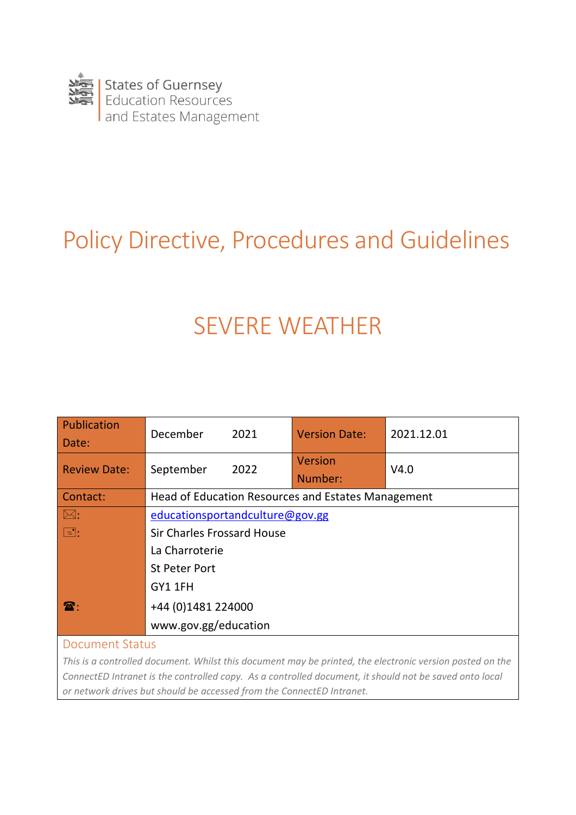

# Policy Directive, Procedures and Guidelines

# SEVERE WEATHER

| <b>Publication</b><br>Date: | December<br>2021                                   | <b>Version Date:</b> | 2021.12.01 |  |
|-----------------------------|----------------------------------------------------|----------------------|------------|--|
| <b>Review Date:</b>         | September<br>2022                                  | Version<br>Number:   | V4.0       |  |
| Contact:                    | Head of Education Resources and Estates Management |                      |            |  |
| $ \boxtimes:$               | educationsportandculture@gov.gg                    |                      |            |  |
| $\boxed{=}$ :               | <b>Sir Charles Frossard House</b>                  |                      |            |  |
|                             | La Charroterie                                     |                      |            |  |
|                             | <b>St Peter Port</b>                               |                      |            |  |
|                             | GY1 1FH                                            |                      |            |  |
| $\mathbf{R}$ :              | +44 (0)1481 224000                                 |                      |            |  |
|                             | www.gov.gg/education                               |                      |            |  |

### Document Status

*This is a controlled document. Whilst this document may be printed, the electronic version posted on the ConnectED Intranet is the controlled copy. As a controlled document, it should not be saved onto local or network drives but should be accessed from the ConnectED Intranet.*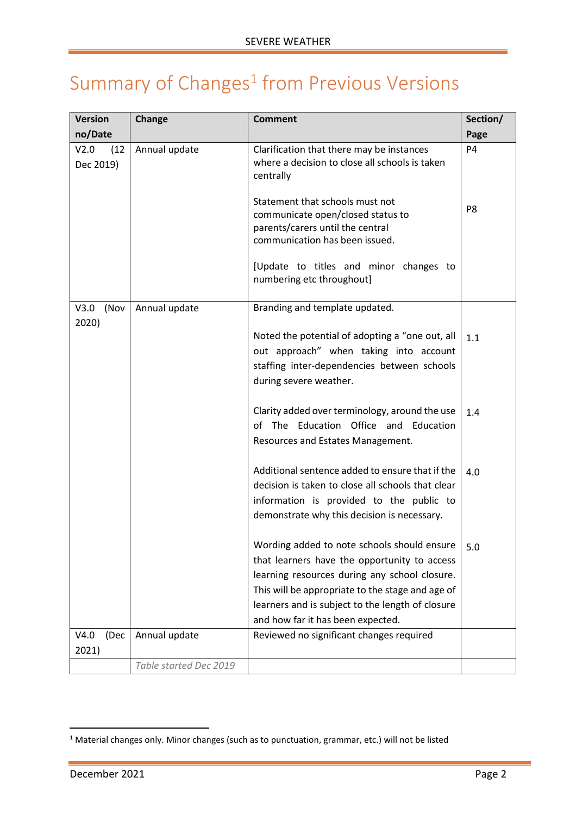# <span id="page-1-0"></span>Summary of  $Changes<sup>1</sup>$  from Previous Versions

| <b>Version</b>            | Change                 | <b>Comment</b>                                                                                                                                                                                                                                                                            | Section/       |
|---------------------------|------------------------|-------------------------------------------------------------------------------------------------------------------------------------------------------------------------------------------------------------------------------------------------------------------------------------------|----------------|
| no/Date                   |                        |                                                                                                                                                                                                                                                                                           | Page           |
| (12)<br>V2.0<br>Dec 2019) | Annual update          | Clarification that there may be instances<br>where a decision to close all schools is taken<br>centrally                                                                                                                                                                                  | P <sub>4</sub> |
|                           |                        | Statement that schools must not<br>communicate open/closed status to<br>parents/carers until the central<br>communication has been issued.                                                                                                                                                | P <sub>8</sub> |
|                           |                        | [Update to titles and minor changes to<br>numbering etc throughout]                                                                                                                                                                                                                       |                |
| V3.0<br>(Nov              | Annual update          | Branding and template updated.                                                                                                                                                                                                                                                            |                |
| 2020)                     |                        | Noted the potential of adopting a "one out, all<br>out approach" when taking into account<br>staffing inter-dependencies between schools<br>during severe weather.                                                                                                                        | 1.1            |
|                           |                        | Clarity added over terminology, around the use<br>of The Education Office and Education<br>Resources and Estates Management.                                                                                                                                                              | 1.4            |
|                           |                        | Additional sentence added to ensure that if the<br>decision is taken to close all schools that clear<br>information is provided to the public to<br>demonstrate why this decision is necessary.                                                                                           | 4.0            |
|                           |                        | Wording added to note schools should ensure<br>that learners have the opportunity to access<br>learning resources during any school closure.<br>This will be appropriate to the stage and age of<br>learners and is subject to the length of closure<br>and how far it has been expected. | 5.0            |
| V4.0<br>(Dec              | Annual update          | Reviewed no significant changes required                                                                                                                                                                                                                                                  |                |
| 2021)                     | Table started Dec 2019 |                                                                                                                                                                                                                                                                                           |                |
|                           |                        |                                                                                                                                                                                                                                                                                           |                |

<sup>&</sup>lt;sup>1</sup> Material changes only. Minor changes (such as to punctuation, grammar, etc.) will not be listed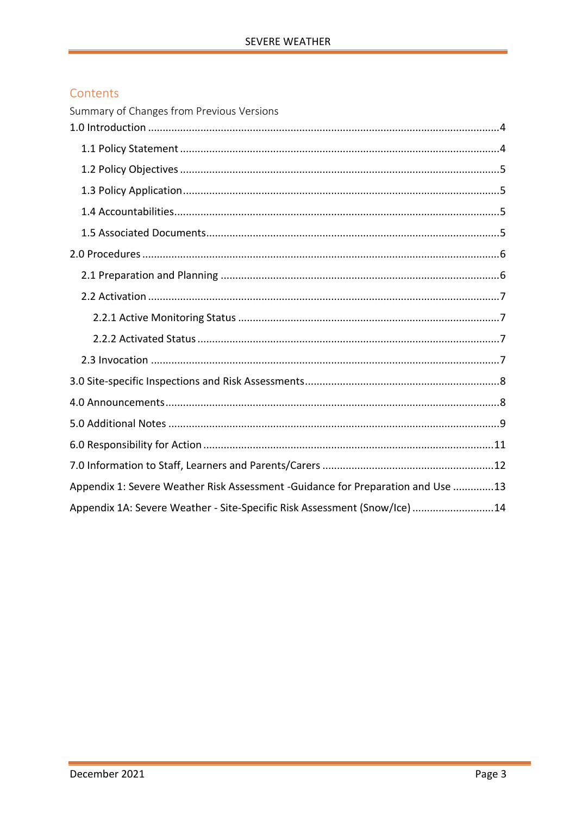### Contents

| Summary of Changes from Previous Versions                                       |
|---------------------------------------------------------------------------------|
|                                                                                 |
|                                                                                 |
|                                                                                 |
|                                                                                 |
|                                                                                 |
|                                                                                 |
|                                                                                 |
|                                                                                 |
|                                                                                 |
|                                                                                 |
|                                                                                 |
|                                                                                 |
|                                                                                 |
|                                                                                 |
|                                                                                 |
|                                                                                 |
|                                                                                 |
| Appendix 1: Severe Weather Risk Assessment -Guidance for Preparation and Use 13 |
| Appendix 1A: Severe Weather - Site-Specific Risk Assessment (Snow/Ice) 14       |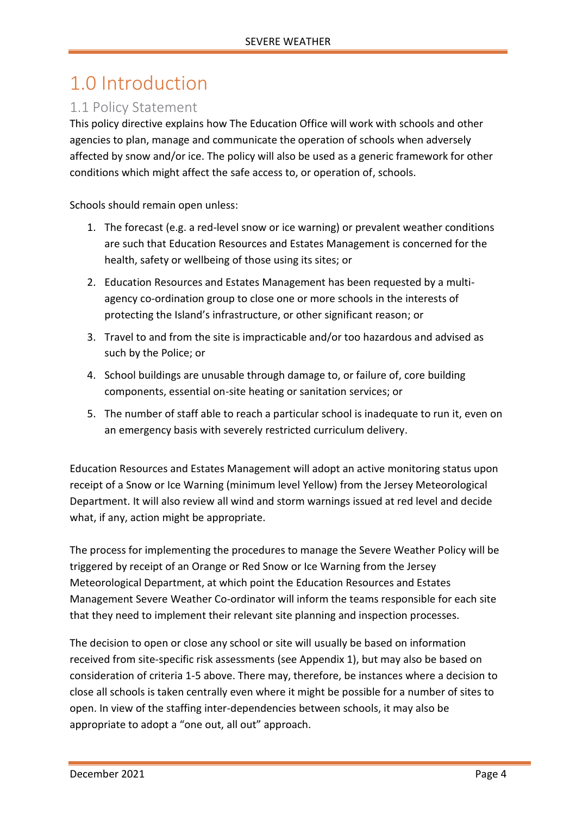# <span id="page-3-0"></span>1.0 Introduction

### <span id="page-3-1"></span>1.1 Policy Statement

This policy directive explains how The Education Office will work with schools and other agencies to plan, manage and communicate the operation of schools when adversely affected by snow and/or ice. The policy will also be used as a generic framework for other conditions which might affect the safe access to, or operation of, schools.

Schools should remain open unless:

- 1. The forecast (e.g. a red-level snow or ice warning) or prevalent weather conditions are such that Education Resources and Estates Management is concerned for the health, safety or wellbeing of those using its sites; or
- 2. Education Resources and Estates Management has been requested by a multiagency co-ordination group to close one or more schools in the interests of protecting the Island's infrastructure, or other significant reason; or
- 3. Travel to and from the site is impracticable and/or too hazardous and advised as such by the Police; or
- 4. School buildings are unusable through damage to, or failure of, core building components, essential on-site heating or sanitation services; or
- 5. The number of staff able to reach a particular school is inadequate to run it, even on an emergency basis with severely restricted curriculum delivery.

Education Resources and Estates Management will adopt an active monitoring status upon receipt of a Snow or Ice Warning (minimum level Yellow) from the Jersey Meteorological Department. It will also review all wind and storm warnings issued at red level and decide what, if any, action might be appropriate.

The process for implementing the procedures to manage the Severe Weather Policy will be triggered by receipt of an Orange or Red Snow or Ice Warning from the Jersey Meteorological Department, at which point the Education Resources and Estates Management Severe Weather Co-ordinator will inform the teams responsible for each site that they need to implement their relevant site planning and inspection processes.

The decision to open or close any school or site will usually be based on information received from site-specific risk assessments (see Appendix 1), but may also be based on consideration of criteria 1-5 above. There may, therefore, be instances where a decision to close all schools is taken centrally even where it might be possible for a number of sites to open. In view of the staffing inter-dependencies between schools, it may also be appropriate to adopt a "one out, all out" approach.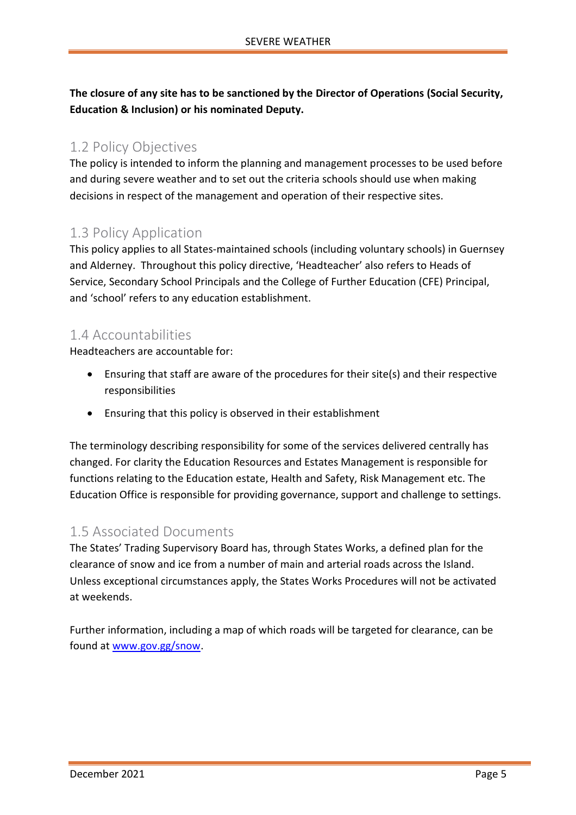**The closure of any site has to be sanctioned by the Director of Operations (Social Security, Education & Inclusion) or his nominated Deputy.**

### <span id="page-4-0"></span>1.2 Policy Objectives

The policy is intended to inform the planning and management processes to be used before and during severe weather and to set out the criteria schools should use when making decisions in respect of the management and operation of their respective sites.

### <span id="page-4-1"></span>1.3 Policy Application

This policy applies to all States-maintained schools (including voluntary schools) in Guernsey and Alderney. Throughout this policy directive, 'Headteacher' also refers to Heads of Service, Secondary School Principals and the College of Further Education (CFE) Principal, and 'school' refers to any education establishment.

### <span id="page-4-2"></span>1.4 Accountabilities

Headteachers are accountable for:

- Ensuring that staff are aware of the procedures for their site(s) and their respective responsibilities
- Ensuring that this policy is observed in their establishment

The terminology describing responsibility for some of the services delivered centrally has changed. For clarity the Education Resources and Estates Management is responsible for functions relating to the Education estate, Health and Safety, Risk Management etc. The Education Office is responsible for providing governance, support and challenge to settings.

### <span id="page-4-3"></span>1.5 Associated Documents

The States' Trading Supervisory Board has, through States Works, a defined plan for the clearance of snow and ice from a number of main and arterial roads across the Island. Unless exceptional circumstances apply, the States Works Procedures will not be activated at weekends.

Further information, including a map of which roads will be targeted for clearance, can be found at [www.gov.gg/snow.](http://www.gov.gg/snow)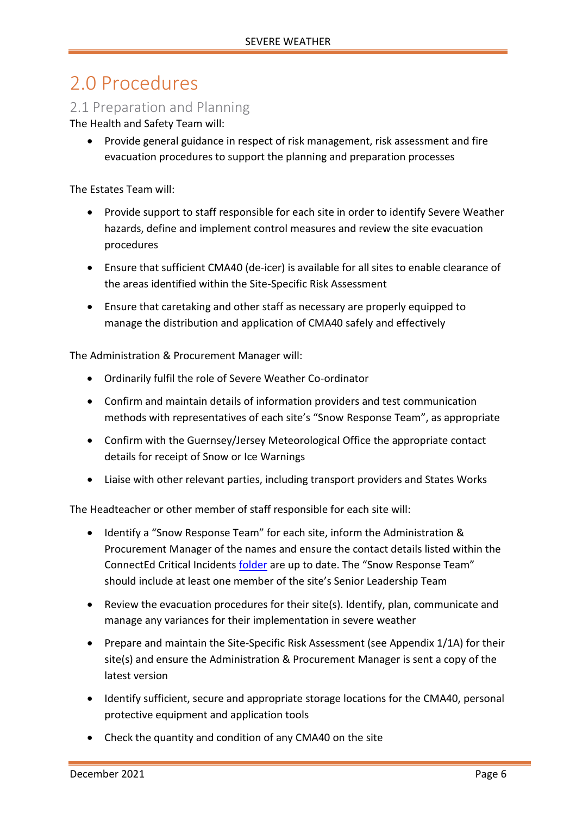## <span id="page-5-0"></span>2.0 Procedures

### <span id="page-5-1"></span>2.1 Preparation and Planning

The Health and Safety Team will:

• Provide general guidance in respect of risk management, risk assessment and fire evacuation procedures to support the planning and preparation processes

The Estates Team will:

- Provide support to staff responsible for each site in order to identify Severe Weather hazards, define and implement control measures and review the site evacuation procedures
- Ensure that sufficient CMA40 (de-icer) is available for all sites to enable clearance of the areas identified within the Site-Specific Risk Assessment
- Ensure that caretaking and other staff as necessary are properly equipped to manage the distribution and application of CMA40 safely and effectively

The Administration & Procurement Manager will:

- Ordinarily fulfil the role of Severe Weather Co-ordinator
- Confirm and maintain details of information providers and test communication methods with representatives of each site's "Snow Response Team", as appropriate
- Confirm with the Guernsey/Jersey Meteorological Office the appropriate contact details for receipt of Snow or Ice Warnings
- Liaise with other relevant parties, including transport providers and States Works

The Headteacher or other member of staff responsible for each site will:

- Identify a "Snow Response Team" for each site, inform the Administration & Procurement Manager of the names and ensure the contact details listed within the ConnectEd Critical Incidents [folder](http://bridge/teamsite/education/policies/Critical%20Incident%20Planning/Forms/AllItems.aspx) are up to date. The "Snow Response Team" should include at least one member of the site's Senior Leadership Team
- Review the evacuation procedures for their site(s). Identify, plan, communicate and manage any variances for their implementation in severe weather
- Prepare and maintain the Site-Specific Risk Assessment (see Appendix 1/1A) for their site(s) and ensure the Administration & Procurement Manager is sent a copy of the latest version
- Identify sufficient, secure and appropriate storage locations for the CMA40, personal protective equipment and application tools
- Check the quantity and condition of any CMA40 on the site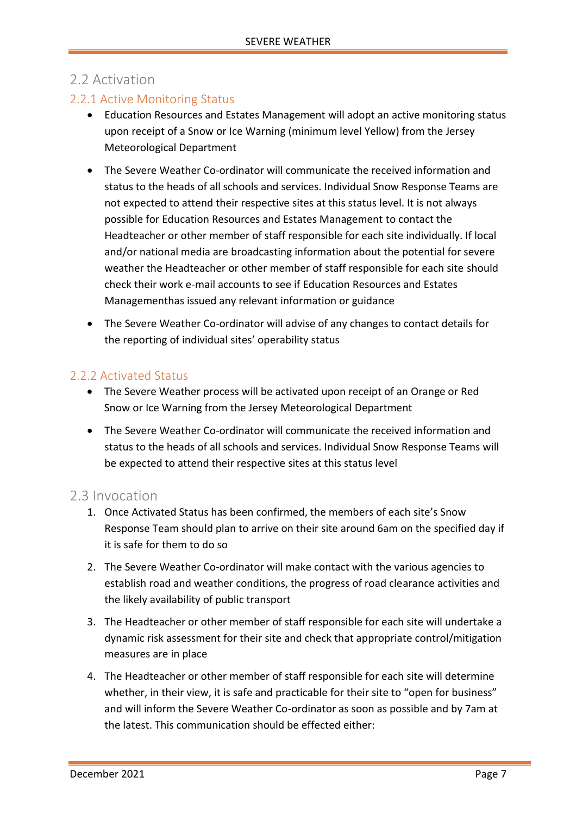### <span id="page-6-0"></span>2.2 Activation

### <span id="page-6-1"></span>2.2.1 Active Monitoring Status

- Education Resources and Estates Management will adopt an active monitoring status upon receipt of a Snow or Ice Warning (minimum level Yellow) from the Jersey Meteorological Department
- The Severe Weather Co-ordinator will communicate the received information and status to the heads of all schools and services. Individual Snow Response Teams are not expected to attend their respective sites at this status level. It is not always possible for Education Resources and Estates Management to contact the Headteacher or other member of staff responsible for each site individually. If local and/or national media are broadcasting information about the potential for severe weather the Headteacher or other member of staff responsible for each site should check their work e-mail accounts to see if Education Resources and Estates Managementhas issued any relevant information or guidance
- The Severe Weather Co-ordinator will advise of any changes to contact details for the reporting of individual sites' operability status

#### <span id="page-6-2"></span>2.2.2 Activated Status

- The Severe Weather process will be activated upon receipt of an Orange or Red Snow or Ice Warning from the Jersey Meteorological Department
- The Severe Weather Co-ordinator will communicate the received information and status to the heads of all schools and services. Individual Snow Response Teams will be expected to attend their respective sites at this status level

### <span id="page-6-3"></span>2.3 Invocation

- 1. Once Activated Status has been confirmed, the members of each site's Snow Response Team should plan to arrive on their site around 6am on the specified day if it is safe for them to do so
- 2. The Severe Weather Co-ordinator will make contact with the various agencies to establish road and weather conditions, the progress of road clearance activities and the likely availability of public transport
- 3. The Headteacher or other member of staff responsible for each site will undertake a dynamic risk assessment for their site and check that appropriate control/mitigation measures are in place
- 4. The Headteacher or other member of staff responsible for each site will determine whether, in their view, it is safe and practicable for their site to "open for business" and will inform the Severe Weather Co-ordinator as soon as possible and by 7am at the latest. This communication should be effected either: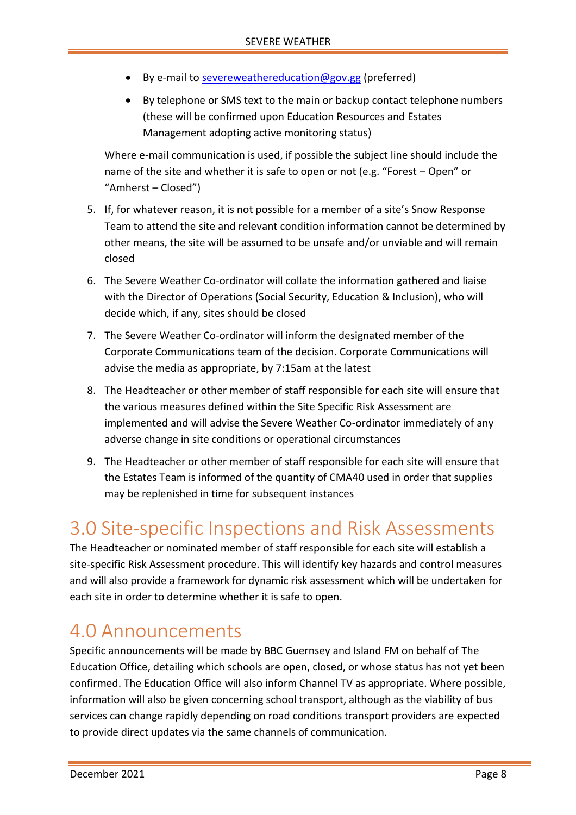- By e-mail to [severeweathereducation@gov.gg](mailto:severeweathereducation@gov.gg) (preferred)
- By telephone or SMS text to the main or backup contact telephone numbers (these will be confirmed upon Education Resources and Estates Management adopting active monitoring status)

Where e-mail communication is used, if possible the subject line should include the name of the site and whether it is safe to open or not (e.g. "Forest – Open" or "Amherst – Closed")

- 5. If, for whatever reason, it is not possible for a member of a site's Snow Response Team to attend the site and relevant condition information cannot be determined by other means, the site will be assumed to be unsafe and/or unviable and will remain closed
- 6. The Severe Weather Co-ordinator will collate the information gathered and liaise with the Director of Operations (Social Security, Education & Inclusion), who will decide which, if any, sites should be closed
- 7. The Severe Weather Co-ordinator will inform the designated member of the Corporate Communications team of the decision. Corporate Communications will advise the media as appropriate, by 7:15am at the latest
- 8. The Headteacher or other member of staff responsible for each site will ensure that the various measures defined within the Site Specific Risk Assessment are implemented and will advise the Severe Weather Co-ordinator immediately of any adverse change in site conditions or operational circumstances
- 9. The Headteacher or other member of staff responsible for each site will ensure that the Estates Team is informed of the quantity of CMA40 used in order that supplies may be replenished in time for subsequent instances

### <span id="page-7-0"></span>3.0 Site-specific Inspections and Risk Assessments

The Headteacher or nominated member of staff responsible for each site will establish a site-specific Risk Assessment procedure. This will identify key hazards and control measures and will also provide a framework for dynamic risk assessment which will be undertaken for each site in order to determine whether it is safe to open.

### <span id="page-7-1"></span>4.0 Announcements

Specific announcements will be made by BBC Guernsey and Island FM on behalf of The Education Office, detailing which schools are open, closed, or whose status has not yet been confirmed. The Education Office will also inform Channel TV as appropriate. Where possible, information will also be given concerning school transport, although as the viability of bus services can change rapidly depending on road conditions transport providers are expected to provide direct updates via the same channels of communication.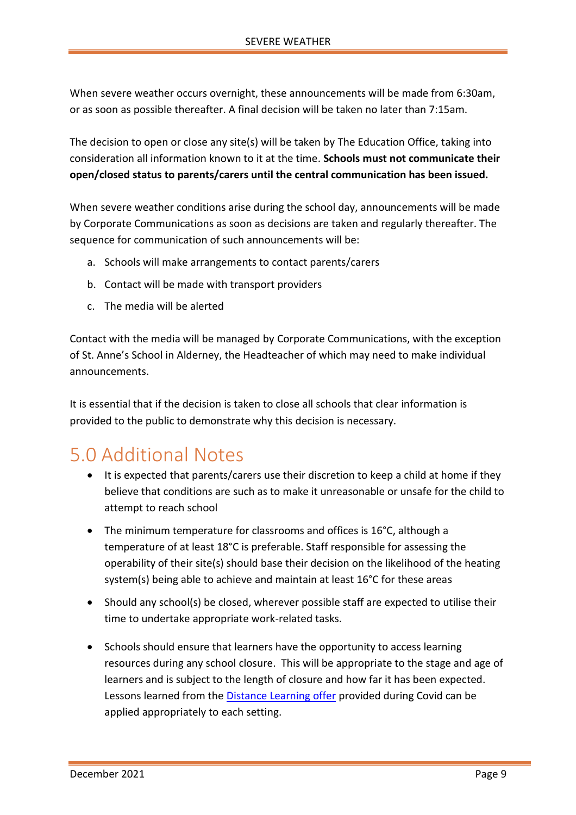When severe weather occurs overnight, these announcements will be made from 6:30am, or as soon as possible thereafter. A final decision will be taken no later than 7:15am.

The decision to open or close any site(s) will be taken by The Education Office, taking into consideration all information known to it at the time. **Schools must not communicate their open/closed status to parents/carers until the central communication has been issued.** 

When severe weather conditions arise during the school day, announcements will be made by Corporate Communications as soon as decisions are taken and regularly thereafter. The sequence for communication of such announcements will be:

- a. Schools will make arrangements to contact parents/carers
- b. Contact will be made with transport providers
- c. The media will be alerted

Contact with the media will be managed by Corporate Communications, with the exception of St. Anne's School in Alderney, the Headteacher of which may need to make individual announcements.

It is essential that if the decision is taken to close all schools that clear information is provided to the public to demonstrate why this decision is necessary.

# <span id="page-8-0"></span>5.0 Additional Notes

- It is expected that parents/carers use their discretion to keep a child at home if they believe that conditions are such as to make it unreasonable or unsafe for the child to attempt to reach school
- The minimum temperature for classrooms and offices is 16°C, although a temperature of at least 18°C is preferable. Staff responsible for assessing the operability of their site(s) should base their decision on the likelihood of the heating system(s) being able to achieve and maintain at least 16°C for these areas
- Should any school(s) be closed, wherever possible staff are expected to utilise their time to undertake appropriate work-related tasks.
- Schools should ensure that learners have the opportunity to access learning resources during any school closure. This will be appropriate to the stage and age of learners and is subject to the length of closure and how far it has been expected. Lessons learned from the **Distance Learning offer provided during Covid can be** applied appropriately to each setting.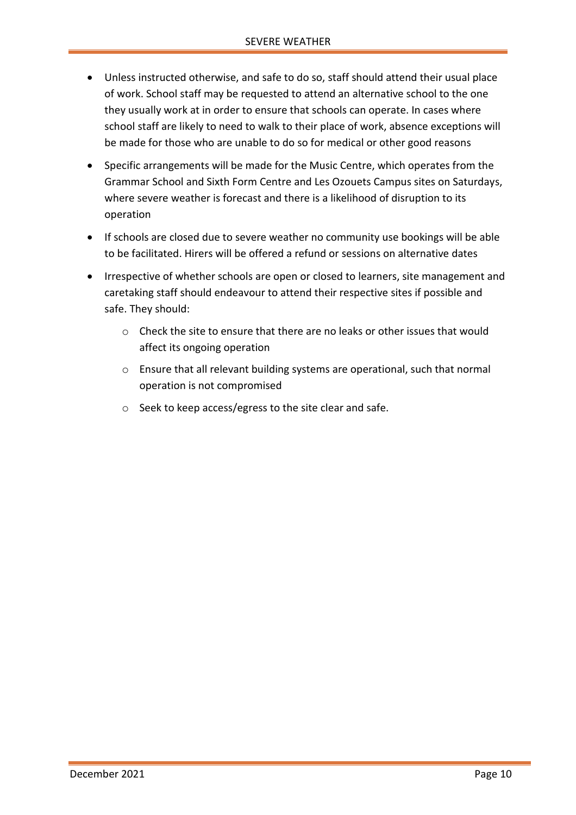- Unless instructed otherwise, and safe to do so, staff should attend their usual place of work. School staff may be requested to attend an alternative school to the one they usually work at in order to ensure that schools can operate. In cases where school staff are likely to need to walk to their place of work, absence exceptions will be made for those who are unable to do so for medical or other good reasons
- Specific arrangements will be made for the Music Centre, which operates from the Grammar School and Sixth Form Centre and Les Ozouets Campus sites on Saturdays, where severe weather is forecast and there is a likelihood of disruption to its operation
- If schools are closed due to severe weather no community use bookings will be able to be facilitated. Hirers will be offered a refund or sessions on alternative dates
- Irrespective of whether schools are open or closed to learners, site management and caretaking staff should endeavour to attend their respective sites if possible and safe. They should:
	- $\circ$  Check the site to ensure that there are no leaks or other issues that would affect its ongoing operation
	- o Ensure that all relevant building systems are operational, such that normal operation is not compromised
	- o Seek to keep access/egress to the site clear and safe.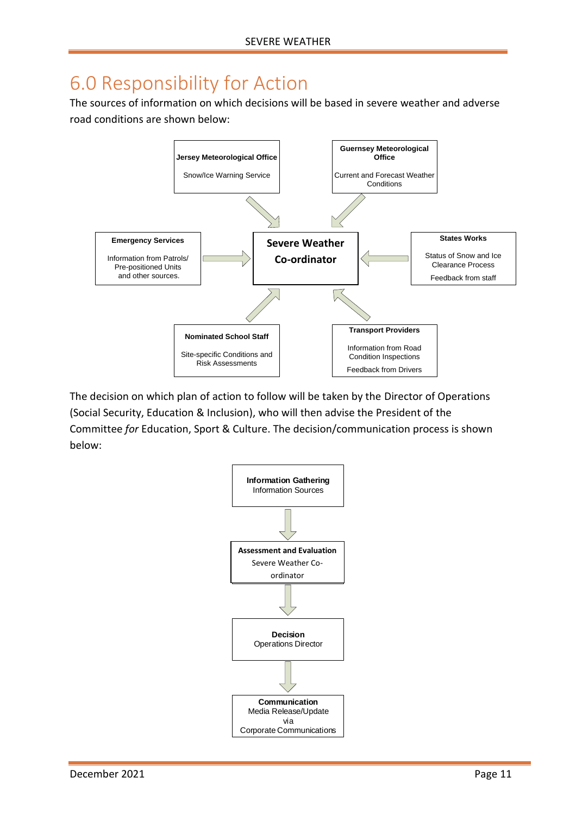# <span id="page-10-0"></span>6.0 Responsibility for Action

The sources of information on which decisions will be based in severe weather and adverse road conditions are shown below:



The decision on which plan of action to follow will be taken by the Director of Operations (Social Security, Education & Inclusion), who will then advise the President of the Committee *for* Education, Sport & Culture. The decision/communication process is shown below:

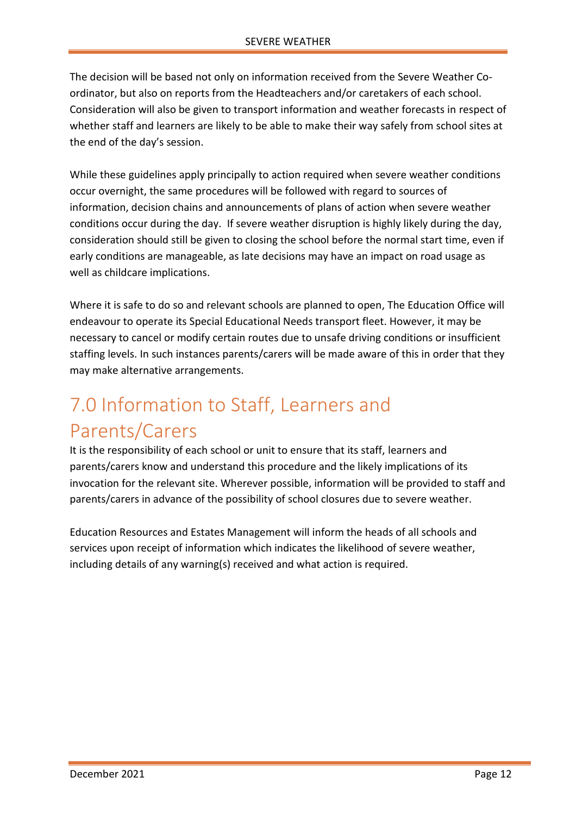The decision will be based not only on information received from the Severe Weather Coordinator, but also on reports from the Headteachers and/or caretakers of each school. Consideration will also be given to transport information and weather forecasts in respect of whether staff and learners are likely to be able to make their way safely from school sites at the end of the day's session.

While these guidelines apply principally to action required when severe weather conditions occur overnight, the same procedures will be followed with regard to sources of information, decision chains and announcements of plans of action when severe weather conditions occur during the day. If severe weather disruption is highly likely during the day, consideration should still be given to closing the school before the normal start time, even if early conditions are manageable, as late decisions may have an impact on road usage as well as childcare implications.

Where it is safe to do so and relevant schools are planned to open, The Education Office will endeavour to operate its Special Educational Needs transport fleet. However, it may be necessary to cancel or modify certain routes due to unsafe driving conditions or insufficient staffing levels. In such instances parents/carers will be made aware of this in order that they may make alternative arrangements.

# <span id="page-11-0"></span>7.0 Information to Staff, Learners and Parents/Carers

It is the responsibility of each school or unit to ensure that its staff, learners and parents/carers know and understand this procedure and the likely implications of its invocation for the relevant site. Wherever possible, information will be provided to staff and parents/carers in advance of the possibility of school closures due to severe weather.

Education Resources and Estates Management will inform the heads of all schools and services upon receipt of information which indicates the likelihood of severe weather, including details of any warning(s) received and what action is required.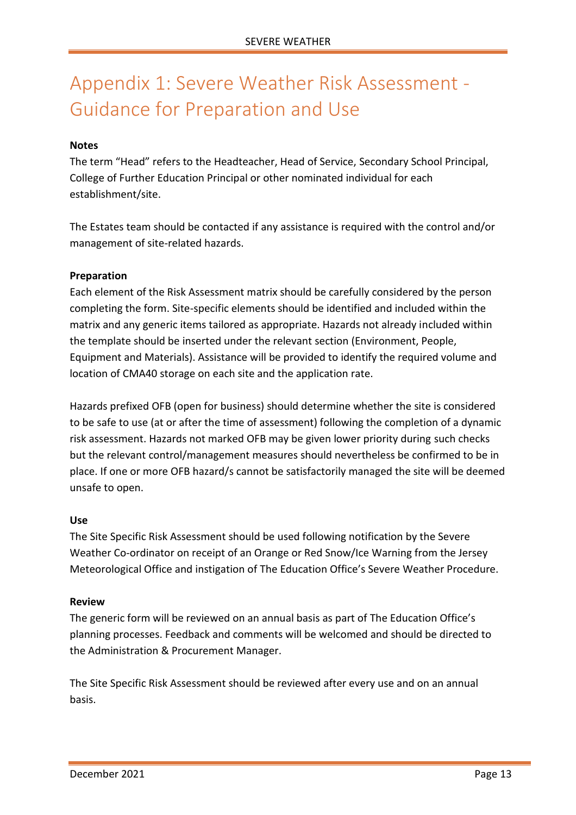# <span id="page-12-0"></span>Appendix 1: Severe Weather Risk Assessment - Guidance for Preparation and Use

#### **Notes**

The term "Head" refers to the Headteacher, Head of Service, Secondary School Principal, College of Further Education Principal or other nominated individual for each establishment/site.

The Estates team should be contacted if any assistance is required with the control and/or management of site-related hazards.

#### **Preparation**

Each element of the Risk Assessment matrix should be carefully considered by the person completing the form. Site-specific elements should be identified and included within the matrix and any generic items tailored as appropriate. Hazards not already included within the template should be inserted under the relevant section (Environment, People, Equipment and Materials). Assistance will be provided to identify the required volume and location of CMA40 storage on each site and the application rate.

Hazards prefixed OFB (open for business) should determine whether the site is considered to be safe to use (at or after the time of assessment) following the completion of a dynamic risk assessment. Hazards not marked OFB may be given lower priority during such checks but the relevant control/management measures should nevertheless be confirmed to be in place. If one or more OFB hazard/s cannot be satisfactorily managed the site will be deemed unsafe to open.

#### **Use**

The Site Specific Risk Assessment should be used following notification by the Severe Weather Co-ordinator on receipt of an Orange or Red Snow/Ice Warning from the Jersey Meteorological Office and instigation of The Education Office's Severe Weather Procedure.

#### **Review**

The generic form will be reviewed on an annual basis as part of The Education Office's planning processes. Feedback and comments will be welcomed and should be directed to the Administration & Procurement Manager.

The Site Specific Risk Assessment should be reviewed after every use and on an annual basis.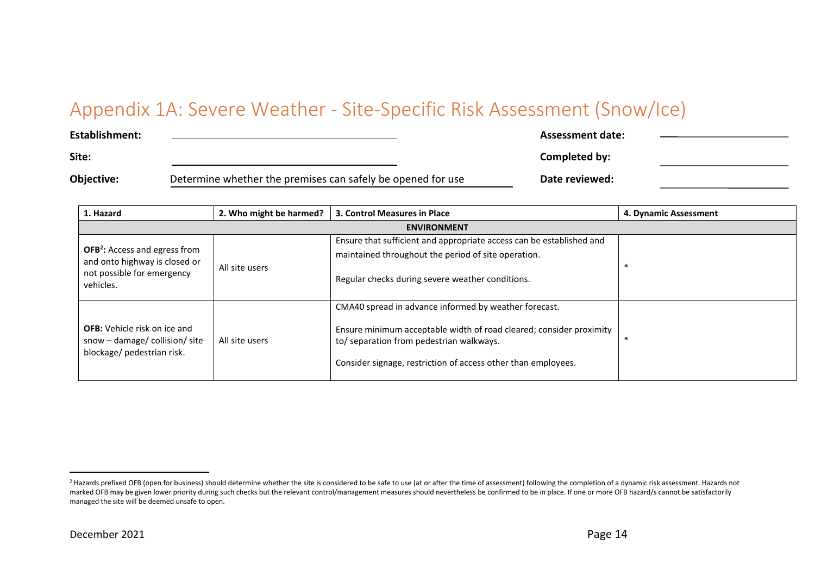# Appendix 1A: Severe Weather - Site-Specific Risk Assessment (Snow/Ice)

| <b>Establishment:</b> |                                                             | Assessment date: |  |
|-----------------------|-------------------------------------------------------------|------------------|--|
| Site:                 |                                                             | Completed by:    |  |
| Objective:            | Determine whether the premises can safely be opened for use | Date reviewed:   |  |

<span id="page-13-0"></span>

| 1. Hazard                                                                                                                   | 2. Who might be harmed? | 3. Control Measures in Place                                                                                                                                                                                                              | 4. Dynamic Assessment |
|-----------------------------------------------------------------------------------------------------------------------------|-------------------------|-------------------------------------------------------------------------------------------------------------------------------------------------------------------------------------------------------------------------------------------|-----------------------|
|                                                                                                                             |                         | <b>ENVIRONMENT</b>                                                                                                                                                                                                                        |                       |
| <b>OFB<sup>2</sup></b> : Access and egress from<br>and onto highway is closed or<br>not possible for emergency<br>vehicles. | All site users          | Ensure that sufficient and appropriate access can be established and<br>maintained throughout the period of site operation.<br>Regular checks during severe weather conditions.                                                           |                       |
| <b>OFB:</b> Vehicle risk on ice and<br>snow - damage/ collision/ site<br>blockage/ pedestrian risk.                         | All site users          | CMA40 spread in advance informed by weather forecast.<br>Ensure minimum acceptable width of road cleared; consider proximity<br>to/ separation from pedestrian walkways.<br>Consider signage, restriction of access other than employees. |                       |

<sup>&</sup>lt;sup>2</sup> Hazards prefixed OFB (open for business) should determine whether the site is considered to be safe to use (at or after the time of assessment) following the completion of a dynamic risk assessment. Hazards not marked OFB may be given lower priority during such checks but the relevant control/management measures should nevertheless be confirmed to be in place. If one or more OFB hazard/s cannot be satisfactorily managed the site will be deemed unsafe to open.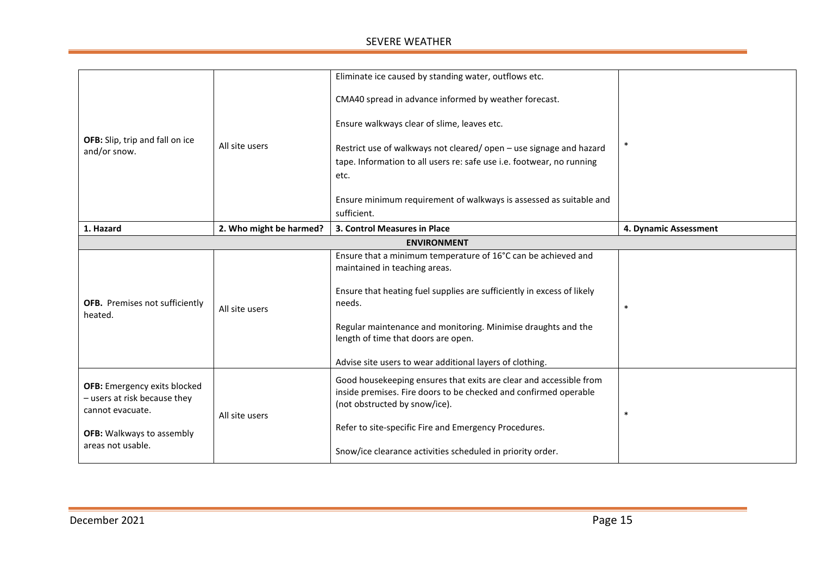|                                                                                         |                         | Eliminate ice caused by standing water, outflows etc.                                                                                                                   |                       |
|-----------------------------------------------------------------------------------------|-------------------------|-------------------------------------------------------------------------------------------------------------------------------------------------------------------------|-----------------------|
|                                                                                         |                         | CMA40 spread in advance informed by weather forecast.                                                                                                                   |                       |
|                                                                                         |                         | Ensure walkways clear of slime, leaves etc.                                                                                                                             |                       |
| OFB: Slip, trip and fall on ice<br>and/or snow.                                         | All site users          | Restrict use of walkways not cleared/open - use signage and hazard                                                                                                      |                       |
|                                                                                         |                         | tape. Information to all users re: safe use i.e. footwear, no running                                                                                                   |                       |
|                                                                                         |                         | etc.                                                                                                                                                                    |                       |
|                                                                                         |                         | Ensure minimum requirement of walkways is assessed as suitable and<br>sufficient.                                                                                       |                       |
| 1. Hazard                                                                               | 2. Who might be harmed? | 3. Control Measures in Place                                                                                                                                            | 4. Dynamic Assessment |
|                                                                                         |                         | <b>ENVIRONMENT</b>                                                                                                                                                      |                       |
|                                                                                         |                         | Ensure that a minimum temperature of 16°C can be achieved and<br>maintained in teaching areas.                                                                          |                       |
| OFB. Premises not sufficiently<br>heated.                                               | All site users          | Ensure that heating fuel supplies are sufficiently in excess of likely<br>needs.                                                                                        |                       |
|                                                                                         |                         | Regular maintenance and monitoring. Minimise draughts and the<br>length of time that doors are open.                                                                    |                       |
|                                                                                         |                         | Advise site users to wear additional layers of clothing.                                                                                                                |                       |
| <b>OFB:</b> Emergency exits blocked<br>- users at risk because they<br>cannot evacuate. | All site users          | Good housekeeping ensures that exits are clear and accessible from<br>inside premises. Fire doors to be checked and confirmed operable<br>(not obstructed by snow/ice). | $\ast$                |
| <b>OFB:</b> Walkways to assembly                                                        |                         | Refer to site-specific Fire and Emergency Procedures.                                                                                                                   |                       |
| areas not usable.                                                                       |                         | Snow/ice clearance activities scheduled in priority order.                                                                                                              |                       |
|                                                                                         |                         |                                                                                                                                                                         |                       |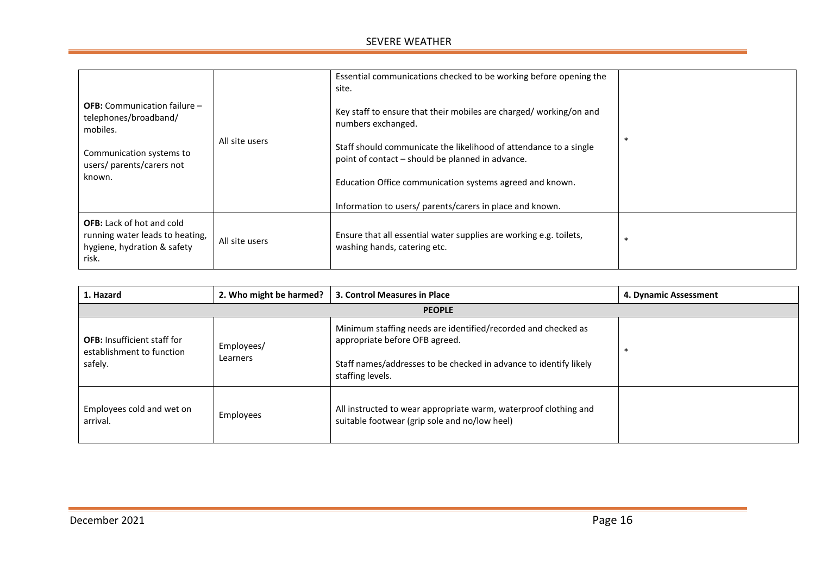| <b>OFB:</b> Communication failure -<br>telephones/broadband/<br>mobiles.<br>Communication systems to<br>users/ parents/carers not<br>known. | All site users | Essential communications checked to be working before opening the<br>site.<br>Key staff to ensure that their mobiles are charged/working/on and<br>numbers exchanged.<br>Staff should communicate the likelihood of attendance to a single<br>point of contact – should be planned in advance.<br>Education Office communication systems agreed and known.<br>Information to users/ parents/carers in place and known. | ∗ |
|---------------------------------------------------------------------------------------------------------------------------------------------|----------------|------------------------------------------------------------------------------------------------------------------------------------------------------------------------------------------------------------------------------------------------------------------------------------------------------------------------------------------------------------------------------------------------------------------------|---|
| <b>OFB:</b> Lack of hot and cold<br>running water leads to heating,<br>hygiene, hydration & safety<br>risk.                                 | All site users | Ensure that all essential water supplies are working e.g. toilets,<br>washing hands, catering etc.                                                                                                                                                                                                                                                                                                                     | ∗ |

| 1. Hazard                                                                  | 2. Who might be harmed? | 3. Control Measures in Place                                                                                                                                                             | 4. Dynamic Assessment |
|----------------------------------------------------------------------------|-------------------------|------------------------------------------------------------------------------------------------------------------------------------------------------------------------------------------|-----------------------|
|                                                                            |                         | <b>PEOPLE</b>                                                                                                                                                                            |                       |
| <b>OFB:</b> Insufficient staff for<br>establishment to function<br>safely. | Employees/<br>Learners  | Minimum staffing needs are identified/recorded and checked as<br>appropriate before OFB agreed.<br>Staff names/addresses to be checked in advance to identify likely<br>staffing levels. |                       |
| Employees cold and wet on<br>arrival.                                      | Employees               | All instructed to wear appropriate warm, waterproof clothing and<br>suitable footwear (grip sole and no/low heel)                                                                        |                       |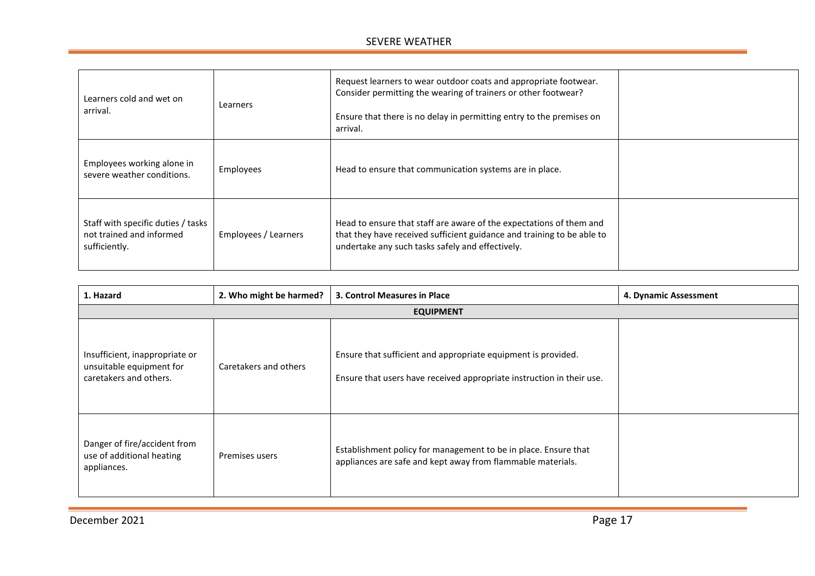| Learners cold and wet on<br>arrival.                                            | Learners             | Request learners to wear outdoor coats and appropriate footwear.<br>Consider permitting the wearing of trainers or other footwear?<br>Ensure that there is no delay in permitting entry to the premises on<br>arrival. |  |
|---------------------------------------------------------------------------------|----------------------|------------------------------------------------------------------------------------------------------------------------------------------------------------------------------------------------------------------------|--|
| Employees working alone in<br>severe weather conditions.                        | Employees            | Head to ensure that communication systems are in place.                                                                                                                                                                |  |
| Staff with specific duties / tasks<br>not trained and informed<br>sufficiently. | Employees / Learners | Head to ensure that staff are aware of the expectations of them and<br>that they have received sufficient guidance and training to be able to<br>undertake any such tasks safely and effectively.                      |  |

| 1. Hazard                                                                            | 2. Who might be harmed? | 3. Control Measures in Place                                                                                                           | 4. Dynamic Assessment |
|--------------------------------------------------------------------------------------|-------------------------|----------------------------------------------------------------------------------------------------------------------------------------|-----------------------|
|                                                                                      |                         | <b>EQUIPMENT</b>                                                                                                                       |                       |
| Insufficient, inappropriate or<br>unsuitable equipment for<br>caretakers and others. | Caretakers and others   | Ensure that sufficient and appropriate equipment is provided.<br>Ensure that users have received appropriate instruction in their use. |                       |
| Danger of fire/accident from<br>use of additional heating<br>appliances.             | Premises users          | Establishment policy for management to be in place. Ensure that<br>appliances are safe and kept away from flammable materials.         |                       |

December 2021 **Page 17**